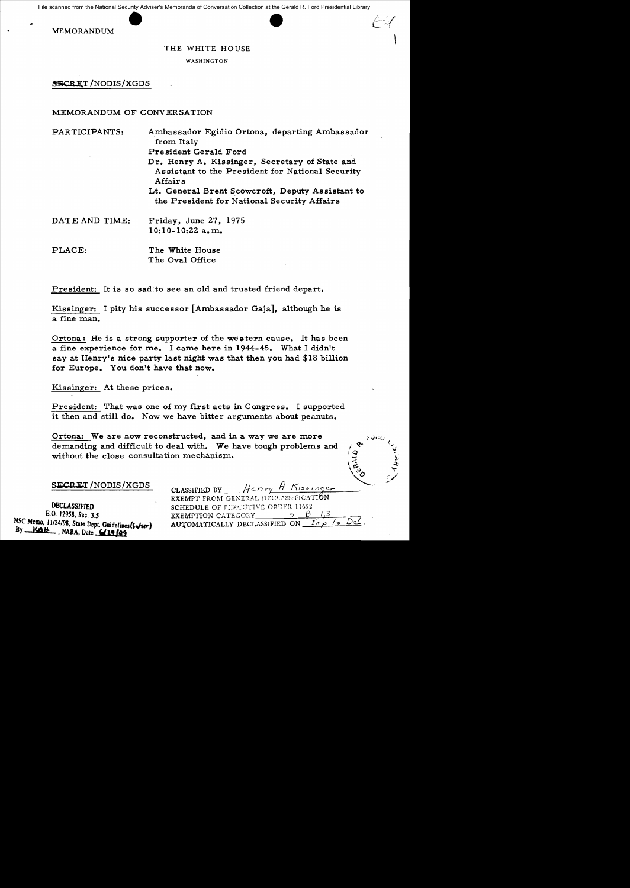Example of the National Security Adviser<br>MEMORANDUM File scanned from the National Security Adviser's Memoranda of Conversation Collection at the Gerald R. Ford Presidential Library

THE WHITE HOUSE

WASHINGTON

SECRET/NODIS/XGDS

## MEMORANDUM OF CONVERSATION

PARTICIPANTS: Ambassador Egidio Ortona, departing Ambassador from Italy President Gerald Ford Dr. Henry A. Kissinger, Secretary of State and Assistant to the President for National Security

Affairs

Lt. General Brent Scowcroft, Deputy As sistant to the President for National Security Affairs

DATE AND TIME: Friday, June 27, 1975 10:10-10:22 a.m.

PLACE: The White House T he Oval Office

President: It is so sad to see an old and trusted friend depart.

Kissinger: I pity his successor [Ambassador Gaja], although he is a fine man.

Ortona: He is a strong supporter of the weatern cause. It has been a fine experience for me. I came here in 1944-45. What I didn't say at Henry's nice party last night was that then you had \$18 billion for Europe. You don't have that now.

Kissinger: At these prices.

President: That was one of my first acts in Congress. I supported it then and still do. Now we have bitter arguments about peanuts.

Ortona: We are now reconstructed, and in a way we are more demanding and difficult to deal with. We have tough problems and without the close consultation mechanism.

SECRET / NODIS / XGDS

By <u>Kait</u>, NARA, Date 6129 f99

CLASSIFIED BY Henry H Kissinger EXEMPT FROM GENERAL DECLASSIFICATION **DECLASSIFIED SCHEDULE OF FIRCUTIVE ORDER 11652**<br>**E.O. 12958, Sec. 3.5 EXEMPTION CATEGORY SCHEDULE OF SEXEMPTION** EXEMPTION CATEGORY NSC Memo, *11/24/98*, *State Dept.* Guidelines (Sukser) AUTOMATICALLY DECLASSIFIED ON  $\frac{T_{f\phi}\rho}{\rho}$  be Det

amo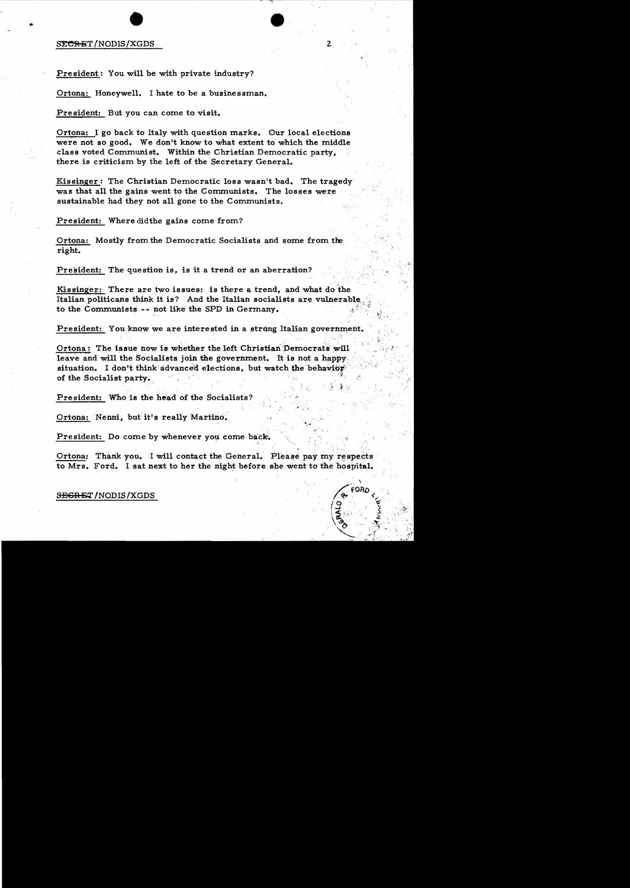## external productions of the state of the state of the state of the state of the state of the state of the state of the state of the state of the state of the state of the state of the state of the state of the state of the

•

President: You will be with private industry?

Ortona: Honeywell. I hate to be a businessman.

President: But you can come to visit.

Ortona: I go back to Italy with question marks. Our local elections were not so good. We don't know to what extent to which the middle class voted Communist. Within the Christian Democratic party, there is criticism by the left of the Secretary General.

Kissinger: The Christian Democratic loss wasn't bad. The tragedy was that all the gains went to the Communists. The losses were sustainable had they not all gone to the Communists.

President: Where didthe gains come from?

Ortona: Mostly from the Democratic Socialists and some from tie. right.

President: The question is, is it a trend or an aberration?

Kissinger: There are two issues: is there a trend. and what do 'the Italian politicans think it is? And the Italian socialists are vulnerable to the Communists -- not like the SPD in Germany.

v. v. n. št. - D. št. - št. - D. št. - V. K

**EORD** 

President: You know we are interested in a strong Italian government.

Ortona: The issue now is whether the left Christian Democrats will leave and will the Socialists join the government. It is not a happy. situation. I don't think advanced elections, but watch the behavior of the Socialist party.  $\}$  ;  $\frac{1}{2}$ 

President: Who is the head of the Socialists?

Ortona: Nenni, but it's really Martino.

President: Do come by whenever you come back.

Ortona: Thank you. I will contact the General. Please pay my respects to Mrs. Ford. I sat next to her the night before she went to the hospital.

SEGRET/NODIS/XGDS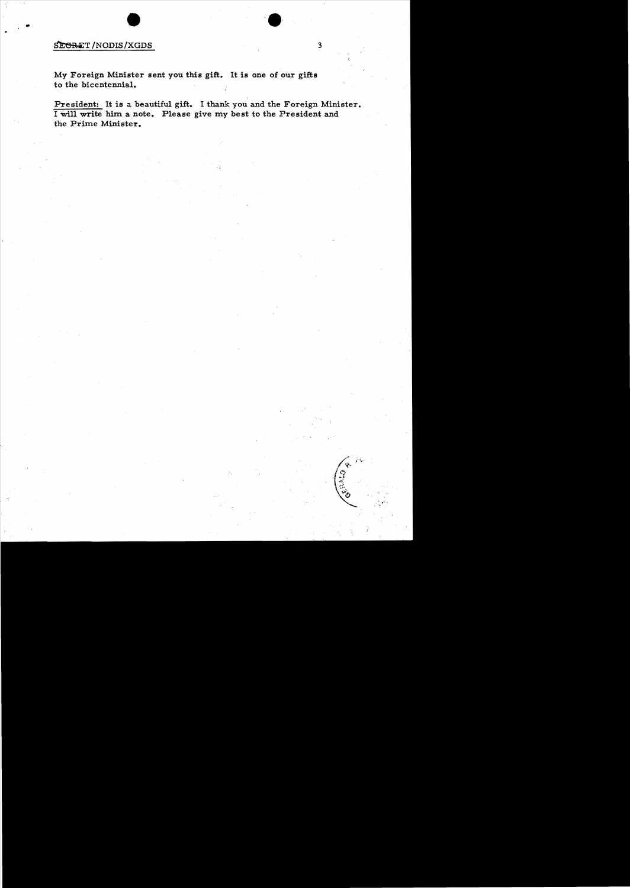## $$\texttt{\textcolor{red}{\textbf{SE}}}\texttt{RET}/\texttt{NODIS}/\texttt{XGDS}$3$$

..

My Foreign Minister sent you this gift. It is one of our gifts to the bicentennial.

President: It is a beautiful gift. I thank you and the Foreign Minister. I will write him a note. Please give my best to the President and the Prime Minister.

ý,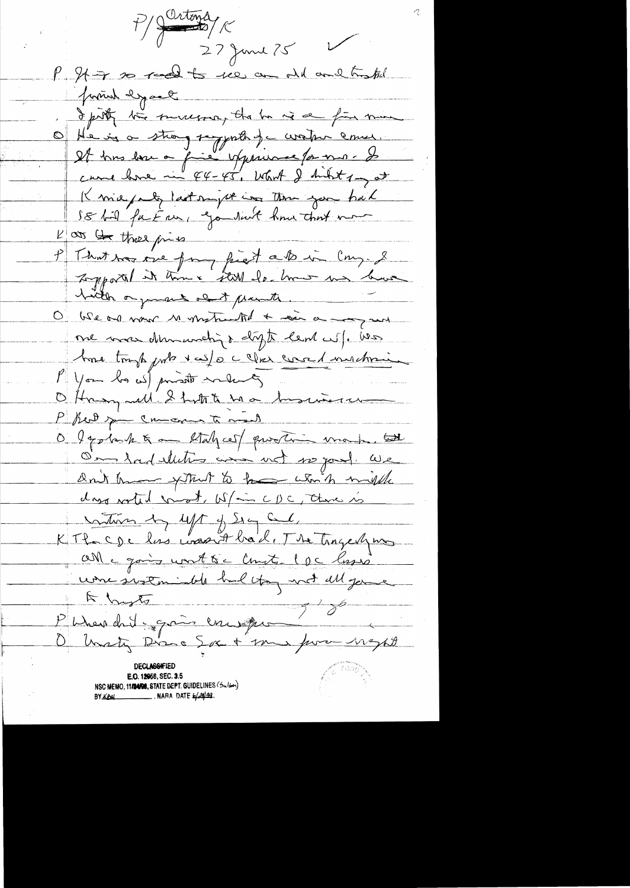Sartons 27 June 25 P Stir so real to see an old and traffel promot dypart I protective surveyors, the he is a fine mine Of He is a strong supporter de corative commer. It has love a fire upperme par mois came have in 44-45, what I hilt 1 got Knie puls last night in the you had SE fil future go suit how that now  $\frac{p}{\sqrt{2\pi}} \frac{p}{\sqrt{2\pi}}$  there pies That was one form first als in Cong. &  $\mathcal{P}_+$ Lopportel it time still de how us have hitle organis of paints. O We and now to make the + can a may and me mas demunding digts lend wife was home tough puts x cofo c cler comed muchosing Mon la w) private making Offragrad Shott has business P But you comer to make O Igotosk & an Staly ces/ quotin make tot O'm And elleting and wet wo good. We Don't know fittent to be when might das sorted const. W/m CDC, three is mothers by left of Sig Cal. KTh cpc las was it back, The Trageshing Will a going worth to Counter 1 pc lasso une instruiste heltog not ell gene  $\frac{1}{2}$  $\frac{1}{\sqrt{2}}$ P Wrended gais en est O hasty Diss Sex + me for neght **DECLASSIFIED** E.O. 12058, SEC. 3.5 NSC MEMO, 11/24/98, STATE DEPT. GUIDELINES (Sulser) NARA DATE  $\frac{1}{4}$  44 **BY KEHL**